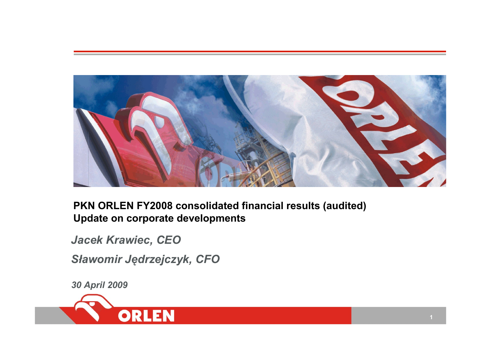

**PKN ORLEN FY2008 consolidated financial results (audited) Update on corporate developments**

*Jacek Krawiec, CEO*

*S ławomir J ędrzejczyk, CFO*

*30 April 2009*

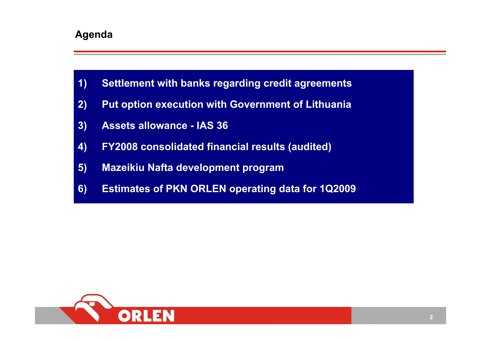### **Agenda**

- **1) Settlement with banks regarding credit agreements**
- **2) Put option execution with Government of Lithuania**
- **3) Assets allowance - IAS 36**
- **4) FY2008 consolidated financial results (audited)**
- **5) Mazeikiu Nafta development program**
- **6) Estimates of PKN ORLEN operating data for 1Q2009**

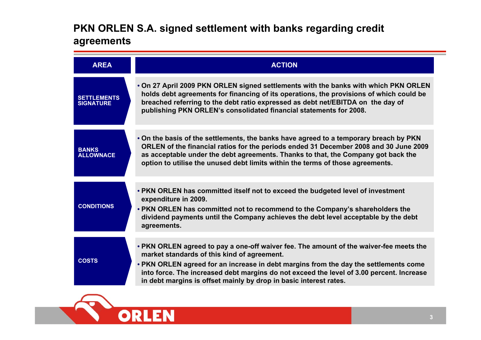## **PKN ORLEN S.A. signed settlement with banks regarding credit agreements**

| <b>AREA</b>                            | <b>ACTION</b>                                                                                                                                                                                                                                                                                                                                                                                  |
|----------------------------------------|------------------------------------------------------------------------------------------------------------------------------------------------------------------------------------------------------------------------------------------------------------------------------------------------------------------------------------------------------------------------------------------------|
| <b>SETTLEMENTS</b><br><b>SIGNATURE</b> | . On 27 April 2009 PKN ORLEN signed settlements with the banks with which PKN ORLEN<br>holds debt agreements for financing of its operations, the provisions of which could be<br>breached referring to the debt ratio expressed as debt net/EBITDA on the day of<br>publishing PKN ORLEN's consolidated financial statements for 2008.                                                        |
| <b>BANKS</b><br><b>ALLOWNACE</b>       | • On the basis of the settlements, the banks have agreed to a temporary breach by PKN<br>ORLEN of the financial ratios for the periods ended 31 December 2008 and 30 June 2009<br>as acceptable under the debt agreements. Thanks to that, the Company got back the<br>option to utilise the unused debt limits within the terms of those agreements.                                          |
| <b>CONDITIONS</b>                      | • PKN ORLEN has committed itself not to exceed the budgeted level of investment<br>expenditure in 2009.<br>• PKN ORLEN has committed not to recommend to the Company's shareholders the<br>dividend payments until the Company achieves the debt level acceptable by the debt<br>agreements.                                                                                                   |
| <b>COSTS</b>                           | • PKN ORLEN agreed to pay a one-off waiver fee. The amount of the waiver-fee meets the<br>market standards of this kind of agreement.<br>• PKN ORLEN agreed for an increase in debt margins from the day the settlements come<br>into force. The increased debt margins do not exceed the level of 3.00 percent. Increase<br>in debt margins is offset mainly by drop in basic interest rates. |

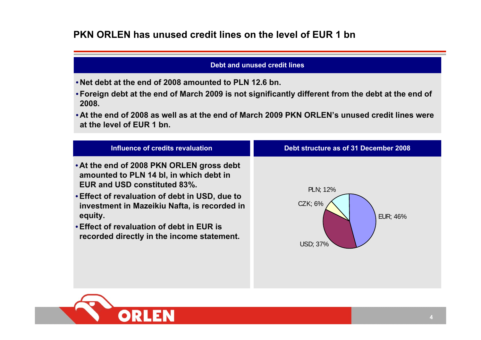### **PKN ORLEN has unused credit lines on the level of EUR 1 bn**

#### **Debt and unused credit lines**

- **Net debt at the end of 2008 amounted to PLN 12.6 bn.**
- **Foreign debt at the end of March 2009 is not significantly different from the debt at the end of 2008.**
- **At the end of 2008 as well as at the end of March 2009 PKN ORLEN's unused credit lines wereat the level of EUR 1 bn.**

| Influence of credits revaluation                                                                                                                                                                                                                                                                                                    | Debt structure as of 31 December 2008                             |
|-------------------------------------------------------------------------------------------------------------------------------------------------------------------------------------------------------------------------------------------------------------------------------------------------------------------------------------|-------------------------------------------------------------------|
| • At the end of 2008 PKN ORLEN gross debt<br>amounted to PLN 14 bl, in which debt in<br><b>EUR and USD constituted 83%.</b><br>• Effect of revaluation of debt in USD, due to<br>investment in Mazeikiu Nafta, is recorded in<br>equity.<br>• Effect of revaluation of debt in EUR is<br>recorded directly in the income statement. | <b>PLN</b> ; 12%<br>CZK; 6%<br><b>EUR: 46%</b><br><b>USD: 37%</b> |

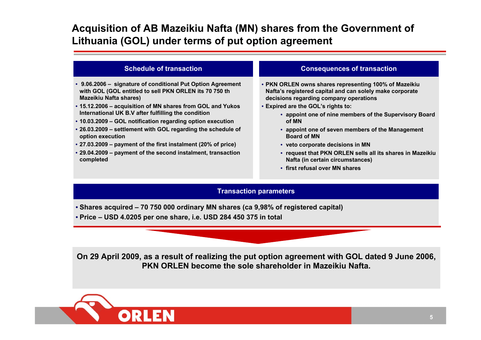## **Acquisition of AB Mazeikiu Nafta (MN) shares from the Government of Lithuania (GOL) under terms of put option agreement**

#### **Schedule of transaction**

- **9.06.2006 – signature of conditional Put Option Agreement with GOL (GOL entitled to sell PKN ORLEN its 70 750 th Mazeikiu Nafta shares)**
- **15.12.2006 – acquisition of MN shares from GOL and Yukos International UK B.V after fulfilling the condition**
- **10.03.2009 – GOL notification regarding option execution**
- **26.03.2009 – settlement with GOL regarding the schedule of option execution**
- **27.03.2009 – payment of the first instalment (20% of price)**
- **29.04.2009 – payment of the second instalment, transaction completed**

#### **Consequences of transaction**

- **PKN ORLEN owns shares representing 100% of Mazeikiu Nafta's registered capital and can solely make corporate decisions regarding company operations**
- **Expired are the GOL's rights to:** 
	- **appoint one of nine members of the Supervisory Board of MN**
	- **appoint one of seven members of the Management Board of MN**
	- **veto corporate decisions in MN**
	- **request that PKN ORLEN sells all its shares in Mazeikiu Nafta (in certain circumstances)**
	- **first refusal over MN shares**

#### **Transaction parameters**

- **Shares acquired – 70 750 000 ordinary MN shares (ca 9,98% of registered capital)**
- **Price – USD 4.0205 per one share, i.e. USD 284 450 375 in total**

**On 29 April 2009, as a result of realizing the put option agreement with GOL dated 9 June 2006, PKN ORLEN become the sole shareholder in Mazeikiu Nafta.**

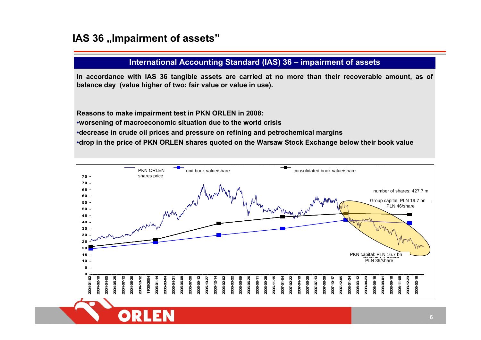### **IAS 36 , Impairment of assets"**

DRI

### **International Accounting Standard (IAS) 36 – impairment of assets**

**In accordance with IAS 36 tangible assets are carried at no more than their recoverable amount, as of balance day (value higher of two: fair value or value in use).**

**Reasons to make impairment test in PKN ORLEN in 2008:**

•**worsening of macroeconomic situation due to the world crisis**

•**decrease in crude oil prices and pressure on refining and petrochemical margins**

•**drop in the price of PKN ORLEN shares quoted on the Warsaw Stock Exchange below their book value**

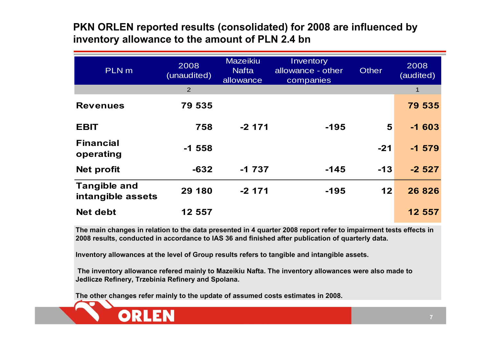### **PKN ORLEN reported results (consolidated) for 2008 are influenced by inventory allowance to the amount of PLN 2.4 bn**

| PLN <sub>m</sub>                         | 2008<br>(unaudited) | <b>Mazeikiu</b><br><b>Nafta</b><br>allowance | Inventory<br>allowance - other<br>companies | <b>Other</b> | 2008<br>(audited) |
|------------------------------------------|---------------------|----------------------------------------------|---------------------------------------------|--------------|-------------------|
|                                          | $\overline{2}$      |                                              |                                             |              | $\mathbf 1$       |
| <b>Revenues</b>                          | 79 535              |                                              |                                             |              | 79 535            |
| <b>EBIT</b>                              | 758                 | $-2$ 171                                     | $-195$                                      | 5            | $-1603$           |
| <b>Financial</b><br>operating            | $-1558$             |                                              |                                             | $-21$        | $-1579$           |
| <b>Net profit</b>                        | $-632$              | $-1737$                                      | $-145$                                      | $-13$        | $-2527$           |
| <b>Tangible and</b><br>intangible assets | 29 180              | $-2$ 171                                     | $-195$                                      | 12           | 26 8 26           |
| <b>Net debt</b>                          | 12 557              |                                              |                                             |              | 12 557            |

**The main changes in relation to the data presented in 4 quarter 2008 report refer to impairment tests effects in 2008 results, conducted in accordance to IAS 36 and finished after publication of quarterly data.**

**Inventory allowances at the level of Group results refers to tangible and intangible assets.**

**The inventory allowance refered mainly to Mazeikiu Nafta. The inventory allowances were also made to Jedlicze Refinery, Trzebinia Refinery and Spolana.**

**The other changes refer mainly to the update of assumed costs estimates in 2008.**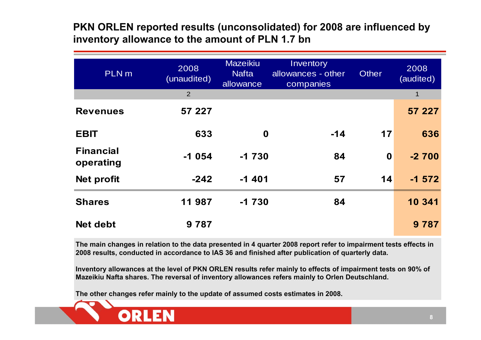## **PKN ORLEN reported results (unconsolidated) for 2008 are influenced by inventory allowance to the amount of PLN 1.7 bn**

| PLN <sub>m</sub>              | 2008<br>(unaudited) | <b>Mazeikiu</b><br><b>Nafta</b><br>allowance | Inventory<br>allowances - other<br>companies | <b>Other</b>     | 2008<br>(audited) |
|-------------------------------|---------------------|----------------------------------------------|----------------------------------------------|------------------|-------------------|
|                               | 2                   |                                              |                                              |                  | $\mathbf{1}$      |
| <b>Revenues</b>               | 57 227              |                                              |                                              |                  | 57 227            |
| <b>EBIT</b>                   | 633                 | $\boldsymbol{0}$                             | $-14$                                        | 17               | 636               |
| <b>Financial</b><br>operating | $-1054$             | $-1730$                                      | 84                                           | $\boldsymbol{0}$ | $-2700$           |
| <b>Net profit</b>             | $-242$              | $-1401$                                      | 57                                           | 14               | $-1572$           |
| <b>Shares</b>                 | 11 987              | $-1730$                                      | 84                                           |                  | 10 341            |
| <b>Net debt</b>               | 9787                |                                              |                                              |                  | 9 7 8 7           |

**The main changes in relation to the data presented in 4 quarter 2008 report refer to impairment tests effects in 2008 results, conducted in accordance to IAS 36 and finished after publication of quarterly data.**

**Inventory allowances at the level of PKN ORLEN results refer mainly to effects of impairment tests on 90% of Mazeikiu Nafta shares. The reversal of inventory allowances refers mainly to Orlen Deutschland.**

**The other changes refer mainly to the update of assumed costs estimates in 2008.**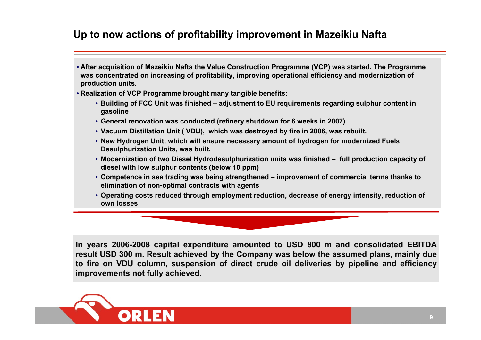## **Up to now actions of profitability improvement in Mazeikiu Nafta**

- **After acquisition of Mazeikiu Nafta the Value Construction Programme (VCP) was started. The Programme was concentrated on increasing of profitability, improving operational efficiency and modernization of production units.**
- **Realization of VCP Programme brought many tangible benefits:**
	- **Building of FCC Unit was finished – adjustment to EU requirements regarding sulphur content in gasoline**
	- **General renovation was conducted (refinery shutdown for 6 weeks in 2007)**
	- **Vacuum Distillation Unit ( VDU), which was destroyed by fire in 2006, was rebuilt.**
	- **New Hydrogen Unit, which will ensure necessary amount of hydrogen for modernized Fuels Desulphurization Units, was built.**
	- **Modernization of two Diesel Hydrodesulphurization units was finished – full production capacity of diesel with low sulphur contents (below 10 ppm)**
	- **Competence in sea trading was being strengthened – improvement of commercial terms thanks to elimination of non-optimal contracts with agents**
	- **Operating costs reduced through employment reduction, decrease of energy intensity, reduction of own losses**

**In years 2006-2008 capital expenditure amounted to USD 800 m and consolidated EBITDA result USD 300 m. Result achieved by the Company was below the assumed plans, mainly due to fire on VDU column, suspension of direct crude oil deliveries by pipeline and efficiency improvements not fully achieved.**

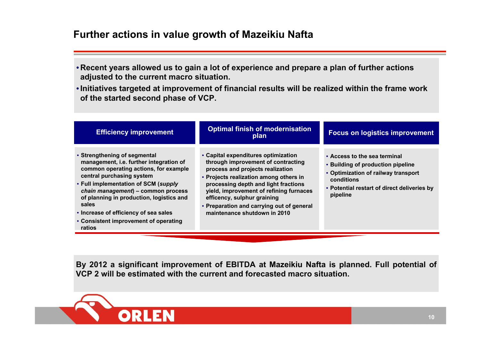### **Further actions in value growth of Mazeikiu Nafta**

- **Recent years allowed us to gain a lot of experience and prepare a plan of further actions adjusted to the current macro situation.**
- **Initiatives targeted at improvement of financial results will be realized within the frame work of the started second phase of VCP.**

| <b>Efficiency improvement</b>                                                                                                                                                                                                                                                                                                                                                | <b>Optimal finish of modernisation</b><br>plan                                                                                                                                                                                                                                                                                                         | <b>Focus on logistics improvement</b>                                                                                                                                             |
|------------------------------------------------------------------------------------------------------------------------------------------------------------------------------------------------------------------------------------------------------------------------------------------------------------------------------------------------------------------------------|--------------------------------------------------------------------------------------------------------------------------------------------------------------------------------------------------------------------------------------------------------------------------------------------------------------------------------------------------------|-----------------------------------------------------------------------------------------------------------------------------------------------------------------------------------|
| • Strengthening of segmental<br>management, i.e. further integration of<br>common operating actions, for example<br>central purchasing system<br>• Full implementation of SCM (supply<br>chain management) - common process<br>of planning in production, logistics and<br>sales<br>• Increase of efficiency of sea sales<br>• Consistent improvement of operating<br>ratios | • Capital expenditures optimization<br>through improvement of contracting<br>process and projects realization<br>• Projects realization among others in<br>processing depth and light fractions<br>yield, improvement of refining furnaces<br>efficency, sulphur graining<br>• Preparation and carrying out of general<br>maintenance shutdown in 2010 | • Access to the sea terminal<br>• Building of production pipeline<br>• Optimization of railway transport<br>conditions<br>• Potential restart of direct deliveries by<br>pipeline |

**By 2012 a significant improvement of EBITDA at Mazeikiu Nafta is planned. Full potential of VCP 2 will be estimated with the current and forecasted macro situation.**

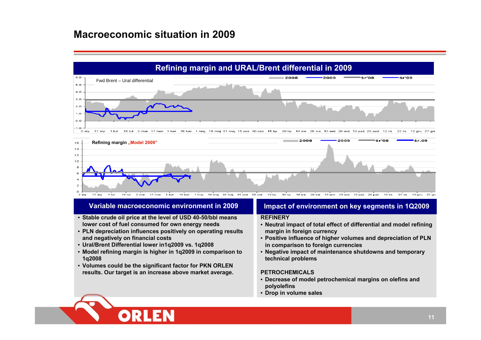### **Macroeconomic situation in 2009**





#### **Variable macroeconomic environment in 2009**

- **Stable crude oil price at the level of USD 40-50/bbl means lower cost of fuel consumed for own energy needs**
- **PLN depreciation influences positively on operating results and negatively on financial costs**
- **Ural/Brent Differential lower in1q2009 vs. 1q2008**

 $\bullet$   $\blacksquare$ 

- **Model refining margin is higher in 1q2009 in comparison to 1q2008**
- **Volumes could be the significant factor for PKN ORLEN results. Our target is an increase above market average.**

#### **Impact of environment on key segments in 1Q2009**

#### **REFINERY**

- **Neutral impact of total effect of differential and model refining margin in foreign currency**
- **Positive influence of higher volumes and depreciation of PLN in comparison to foreign currencies**
- **Negative impact of maintenance shutdowns and temporary technical problem s**

#### **PETROCHEMICALS**

- **Decrease of model petrochemical margins on olefins and polyolefins**
- **Drop in volume sales**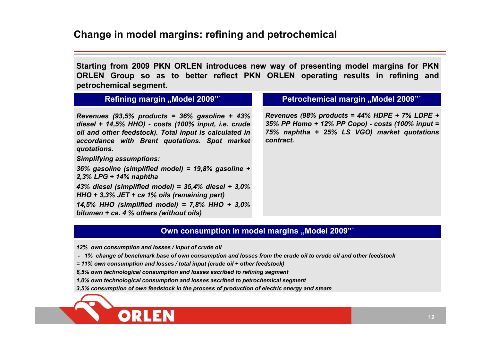**Starting from 2009 PKN ORLEN introduces new way of presenting model margins for PKN ORLEN Group so as to better reflect PKN ORLEN operating results in refining and petrochemical segment.**

### **Refining margin "Model 2009"**

*Revenues (93,5% products = 36% gasoline + 43% diesel + 14,5% HHO) - costs (100% input, i.e. crude oil and other feedstock). Total input is calculated in accordance with Brent quotations. Spot market quotations.*

*Simplifying assumptions:*

*36% gasoline (simplified model) = 19,8% gasoline + 2,3% LPG + 14% naphtha 43% diesel (simplified model) = 35,4% diesel + 3,0% HHO + 3,3% JET + ca 1% oils (remaining part) 14,5% HHO (simplified model) = 7,8% HHO + 3,0% bitumen + ca. 4 % others (without oils)*

#### **Petrochemical margin ..Model 2009"**

*Revenues (98% products = 44% HDPE + 7% LDPE + 35% PP Homo + 12% PP Copo) - costs (100% input = 75% naphtha + 25% LS VGO) market quotations contract.*

### **Own consumption in model margins "Model 2009"**

*12% own consumption and losses / input of crude oil*

- *- 1% change of benchmark base of own consumption and losses from the crude oil to crude oil and other feedstock*
- *= 11% own consumption and losses / total input (crude oil + other feedstock)*

*6,5% own technological consumption and losses ascribed to refining segment*

*1,0% own technological consumption and losses ascribed to petrochemical segment*

*3,5% consumption of own feedstock in the process of production of electric energy and steam*

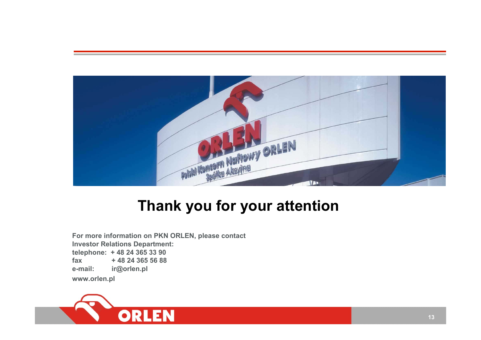

# **Thank you for your attention**

**For more information on PKN ORLEN, please contact Investor Relations Department: telephone: + 48 24 365 33 90 fax + 48 24 365 56 88 e-mail: ir@orlen.pl www.orlen.pl**